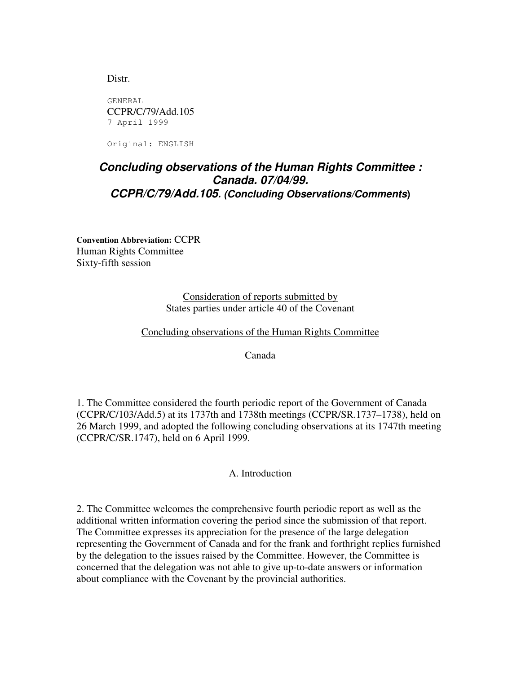Distr.

GENERAL CCPR/C/79/Add.105 7 April 1999

Original: ENGLISH

## *Concluding observations of the Human Rights Committee : Canada. 07/04/99. CCPR/C/79/Add.105. (Concluding Observations/Comments***)**

**Convention Abbreviation:** CCPR Human Rights Committee Sixty-fifth session

> Consideration of reports submitted by States parties under article 40 of the Covenant

Concluding observations of the Human Rights Committee

Canada

1. The Committee considered the fourth periodic report of the Government of Canada (CCPR/C/103/Add.5) at its 1737th and 1738th meetings (CCPR/SR.1737–1738), held on 26 March 1999, and adopted the following concluding observations at its 1747th meeting (CCPR/C/SR.1747), held on 6 April 1999.

## A. Introduction

2. The Committee welcomes the comprehensive fourth periodic report as well as the additional written information covering the period since the submission of that report. The Committee expresses its appreciation for the presence of the large delegation representing the Government of Canada and for the frank and forthright replies furnished by the delegation to the issues raised by the Committee. However, the Committee is concerned that the delegation was not able to give up-to-date answers or information about compliance with the Covenant by the provincial authorities.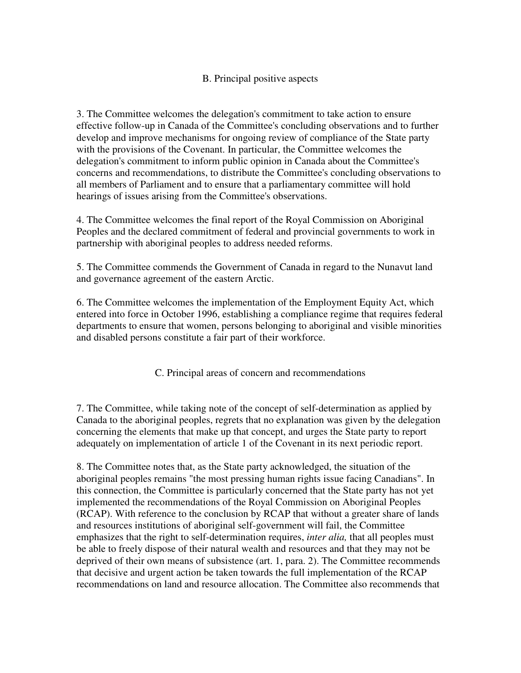## B. Principal positive aspects

3. The Committee welcomes the delegation's commitment to take action to ensure effective follow-up in Canada of the Committee's concluding observations and to further develop and improve mechanisms for ongoing review of compliance of the State party with the provisions of the Covenant. In particular, the Committee welcomes the delegation's commitment to inform public opinion in Canada about the Committee's concerns and recommendations, to distribute the Committee's concluding observations to all members of Parliament and to ensure that a parliamentary committee will hold hearings of issues arising from the Committee's observations.

4. The Committee welcomes the final report of the Royal Commission on Aboriginal Peoples and the declared commitment of federal and provincial governments to work in partnership with aboriginal peoples to address needed reforms.

5. The Committee commends the Government of Canada in regard to the Nunavut land and governance agreement of the eastern Arctic.

6. The Committee welcomes the implementation of the Employment Equity Act, which entered into force in October 1996, establishing a compliance regime that requires federal departments to ensure that women, persons belonging to aboriginal and visible minorities and disabled persons constitute a fair part of their workforce.

C. Principal areas of concern and recommendations

7. The Committee, while taking note of the concept of self-determination as applied by Canada to the aboriginal peoples, regrets that no explanation was given by the delegation concerning the elements that make up that concept, and urges the State party to report adequately on implementation of article 1 of the Covenant in its next periodic report.

8. The Committee notes that, as the State party acknowledged, the situation of the aboriginal peoples remains "the most pressing human rights issue facing Canadians". In this connection, the Committee is particularly concerned that the State party has not yet implemented the recommendations of the Royal Commission on Aboriginal Peoples (RCAP). With reference to the conclusion by RCAP that without a greater share of lands and resources institutions of aboriginal self-government will fail, the Committee emphasizes that the right to self-determination requires, *inter alia,* that all peoples must be able to freely dispose of their natural wealth and resources and that they may not be deprived of their own means of subsistence (art. 1, para. 2). The Committee recommends that decisive and urgent action be taken towards the full implementation of the RCAP recommendations on land and resource allocation. The Committee also recommends that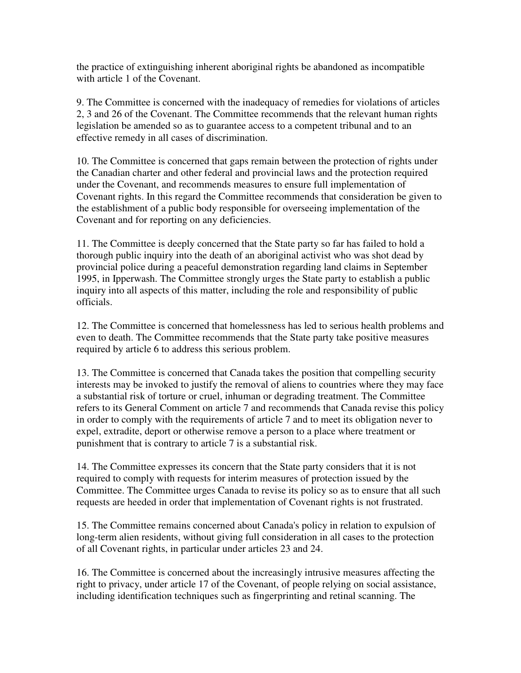the practice of extinguishing inherent aboriginal rights be abandoned as incompatible with article 1 of the Covenant.

9. The Committee is concerned with the inadequacy of remedies for violations of articles 2, 3 and 26 of the Covenant. The Committee recommends that the relevant human rights legislation be amended so as to guarantee access to a competent tribunal and to an effective remedy in all cases of discrimination.

10. The Committee is concerned that gaps remain between the protection of rights under the Canadian charter and other federal and provincial laws and the protection required under the Covenant, and recommends measures to ensure full implementation of Covenant rights. In this regard the Committee recommends that consideration be given to the establishment of a public body responsible for overseeing implementation of the Covenant and for reporting on any deficiencies.

11. The Committee is deeply concerned that the State party so far has failed to hold a thorough public inquiry into the death of an aboriginal activist who was shot dead by provincial police during a peaceful demonstration regarding land claims in September 1995, in Ipperwash. The Committee strongly urges the State party to establish a public inquiry into all aspects of this matter, including the role and responsibility of public officials.

12. The Committee is concerned that homelessness has led to serious health problems and even to death. The Committee recommends that the State party take positive measures required by article 6 to address this serious problem.

13. The Committee is concerned that Canada takes the position that compelling security interests may be invoked to justify the removal of aliens to countries where they may face a substantial risk of torture or cruel, inhuman or degrading treatment. The Committee refers to its General Comment on article 7 and recommends that Canada revise this policy in order to comply with the requirements of article 7 and to meet its obligation never to expel, extradite, deport or otherwise remove a person to a place where treatment or punishment that is contrary to article 7 is a substantial risk.

14. The Committee expresses its concern that the State party considers that it is not required to comply with requests for interim measures of protection issued by the Committee. The Committee urges Canada to revise its policy so as to ensure that all such requests are heeded in order that implementation of Covenant rights is not frustrated.

15. The Committee remains concerned about Canada's policy in relation to expulsion of long-term alien residents, without giving full consideration in all cases to the protection of all Covenant rights, in particular under articles 23 and 24.

16. The Committee is concerned about the increasingly intrusive measures affecting the right to privacy, under article 17 of the Covenant, of people relying on social assistance, including identification techniques such as fingerprinting and retinal scanning. The